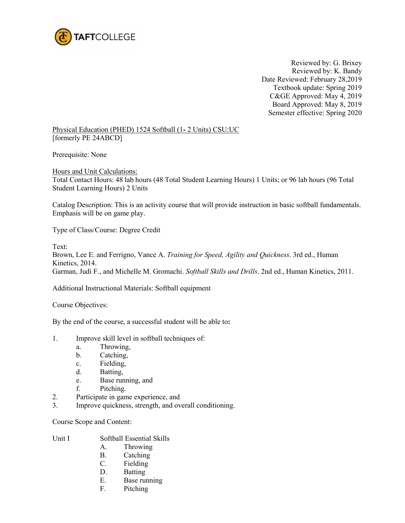

Reviewed by: G. Brixey Reviewed by: K. Bandy Date Reviewed: February 28,2019 Textbook update: Spring 2019 C&GE Approved: May 4, 2019 Board Approved: May 8, 2019 Semester effective: Spring 2020

Physical Education (PHED) 1524 Softball (1**-** 2 Units) CSU:UC [formerly PE 24ABCD]

Prerequisite: None

Hours and Unit Calculations: Total Contact Hours: 48 lab hours (48 Total Student Learning Hours) 1 Units; or 96 lab hours (96 Total Student Learning Hours) 2 Units

Catalog Description: This is an activity course that will provide instruction in basic softball fundamentals. Emphasis will be on game play.

Type of Class/Course: Degree Credit

Text:

Brown, Lee E. and Ferrigno, Vance A. *Training for Speed, Agility and Quickness*. 3rd ed., Human Kinetics, 2014. Garman, Judi F., and Michelle M. Gromachi. *Softball Skills and Drills*. 2nd ed., Human Kinetics, 2011.

Additional Instructional Materials: Softball equipment

Course Objectives:

By the end of the course, a successful student will be able to**:**

- 1. Improve skill level in softball techniques of:
	- a. Throwing,
	- b. Catching,
	- c. Fielding,
	- d. Batting,
	- e. Base running, and
	- f. Pitching.
- 2. Participate in game experience, and
- 3. Improve quickness, strength, and overall conditioning.

Course Scope and Content:

Unit I Softball Essential Skills

- A. Throwing
- B. Catching
- C. Fielding
- D. Batting
- E. Base running
- F. Pitching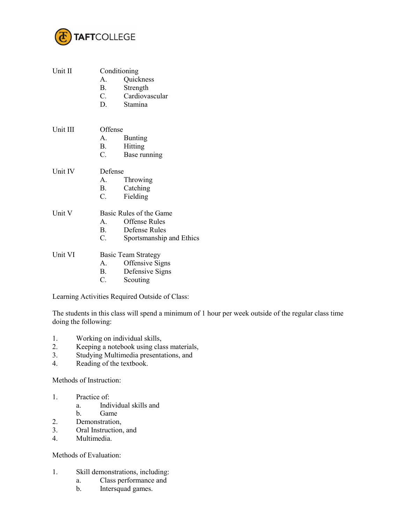

| Unit II  | Conditioning               |                          |  |
|----------|----------------------------|--------------------------|--|
|          |                            | A. Quickness             |  |
|          | B.                         | Strength                 |  |
|          |                            | C. Cardiovascular        |  |
|          |                            | D. Stamina               |  |
|          |                            |                          |  |
| Unit III | Offense                    |                          |  |
|          | A.                         | <b>Bunting</b>           |  |
|          | B.                         | Hitting                  |  |
|          | $C_{\cdot}$                | Base running             |  |
|          |                            |                          |  |
| Unit IV  | Defense                    |                          |  |
|          |                            | A. Throwing              |  |
|          | B.                         | Catching                 |  |
|          | $C_{\cdot}$                | Fielding                 |  |
|          |                            |                          |  |
| Unit V   | Basic Rules of the Game    |                          |  |
|          | A.                         | <b>Offense Rules</b>     |  |
|          | <b>B</b> .                 | Defense Rules            |  |
|          | $C_{\cdot}$                | Sportsmanship and Ethics |  |
| Unit VI  | <b>Basic Team Strategy</b> |                          |  |
|          | A.                         | Offensive Signs          |  |
|          | <b>B</b> .                 | Defensive Signs          |  |
|          | $C_{\cdot}$                | Scouting                 |  |
|          |                            |                          |  |

Learning Activities Required Outside of Class:

The students in this class will spend a minimum of 1 hour per week outside of the regular class time doing the following:

- 1. Working on individual skills,<br>2. Keeping a notebook using cla
- Keeping a notebook using class materials,
- 3. Studying Multimedia presentations, and<br>4. Reading of the textbook.
- Reading of the textbook.

Methods of Instruction:

- 1. Practice of:
	- a. Individual skills and
	- b. Game
- 2. Demonstration,
- 3. Oral Instruction, and 4. Multimedia.
- Multimedia.

Methods of Evaluation:

- 1. Skill demonstrations, including:
	- a. Class performance and
	- b. Intersquad games.